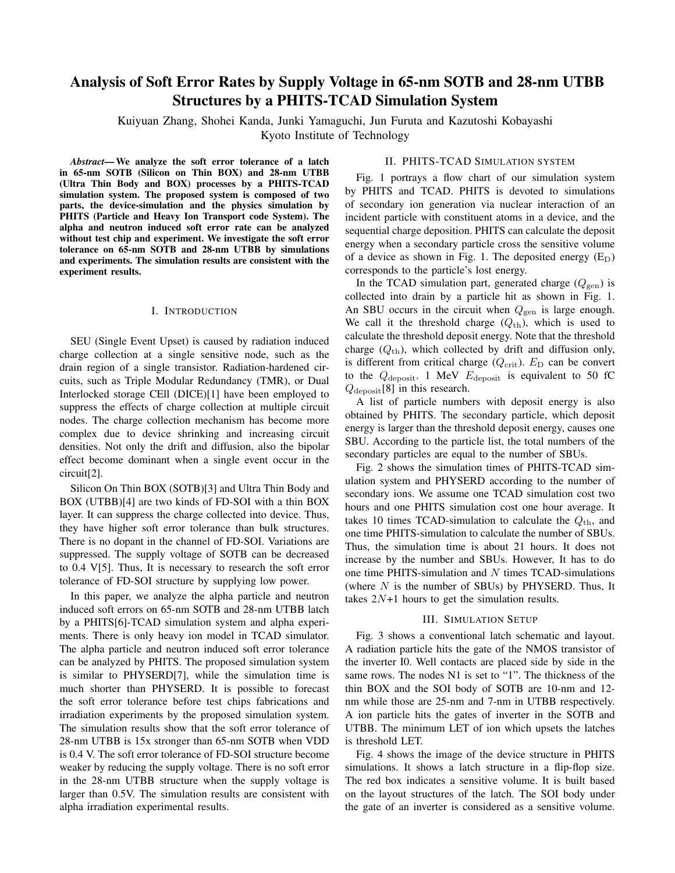# Analysis of Soft Error Rates by Supply Voltage in 65-nm SOTB and 28-nm UTBB Structures by a PHITS-TCAD Simulation System

Kuiyuan Zhang, Shohei Kanda, Junki Yamaguchi, Jun Furuta and Kazutoshi Kobayashi Kyoto Institute of Technology

*Abstract*—We analyze the soft error tolerance of a latch in 65-nm SOTB (Silicon on Thin BOX) and 28-nm UTBB (Ultra Thin Body and BOX) processes by a PHITS-TCAD simulation system. The proposed system is composed of two parts, the device-simulation and the physics simulation by PHITS (Particle and Heavy Ion Transport code System). The alpha and neutron induced soft error rate can be analyzed without test chip and experiment. We investigate the soft error tolerance on 65-nm SOTB and 28-nm UTBB by simulations and experiments. The simulation results are consistent with the experiment results.

#### I. INTRODUCTION

SEU (Single Event Upset) is caused by radiation induced charge collection at a single sensitive node, such as the drain region of a single transistor. Radiation-hardened circuits, such as Triple Modular Redundancy (TMR), or Dual Interlocked storage CEll (DICE)[1] have been employed to suppress the effects of charge collection at multiple circuit nodes. The charge collection mechanism has become more complex due to device shrinking and increasing circuit densities. Not only the drift and diffusion, also the bipolar effect become dominant when a single event occur in the circuit[2].

Silicon On Thin BOX (SOTB)[3] and Ultra Thin Body and BOX (UTBB)[4] are two kinds of FD-SOI with a thin BOX layer. It can suppress the charge collected into device. Thus, they have higher soft error tolerance than bulk structures. There is no dopant in the channel of FD-SOI. Variations are suppressed. The supply voltage of SOTB can be decreased to 0.4 V[5]. Thus, It is necessary to research the soft error tolerance of FD-SOI structure by supplying low power.

In this paper, we analyze the alpha particle and neutron induced soft errors on 65-nm SOTB and 28-nm UTBB latch by a PHITS[6]-TCAD simulation system and alpha experiments. There is only heavy ion model in TCAD simulator. The alpha particle and neutron induced soft error tolerance can be analyzed by PHITS. The proposed simulation system is similar to PHYSERD[7], while the simulation time is much shorter than PHYSERD. It is possible to forecast the soft error tolerance before test chips fabrications and irradiation experiments by the proposed simulation system. The simulation results show that the soft error tolerance of 28-nm UTBB is 15x stronger than 65-nm SOTB when VDD is 0.4 V. The soft error tolerance of FD-SOI structure become weaker by reducing the supply voltage. There is no soft error in the 28-nm UTBB structure when the supply voltage is larger than 0.5V. The simulation results are consistent with alpha irradiation experimental results.

Fig. 1 portrays a flow chart of our simulation system by PHITS and TCAD. PHITS is devoted to simulations of secondary ion generation via nuclear interaction of an incident particle with constituent atoms in a device, and the sequential charge deposition. PHITS can calculate the deposit energy when a secondary particle cross the sensitive volume of a device as shown in Fig. 1. The deposited energy  $(E_D)$ 

corresponds to the particle's lost energy. In the TCAD simulation part, generated charge  $(Q<sub>gen</sub>)$  is collected into drain by a particle hit as shown in Fig. 1. An SBU occurs in the circuit when  $Q_{\text{gen}}$  is large enough. We call it the threshold charge  $(Q<sub>th</sub>)$ , which is used to calculate the threshold deposit energy. Note that the threshold charge (*Q*th), which collected by drift and diffusion only, is different from critical charge  $(Q_{\text{crit}})$ .  $E_D$  can be convert to the  $Q_{\text{deposit}}$ . 1 MeV  $E_{\text{deposit}}$  is equivalent to 50 fC *Q*deposit[8] in this research.

A list of particle numbers with deposit energy is also obtained by PHITS. The secondary particle, which deposit energy is larger than the threshold deposit energy, causes one SBU. According to the particle list, the total numbers of the secondary particles are equal to the number of SBUs.

Fig. 2 shows the simulation times of PHITS-TCAD simulation system and PHYSERD according to the number of secondary ions. We assume one TCAD simulation cost two hours and one PHITS simulation cost one hour average. It takes 10 times TCAD-simulation to calculate the  $Q_{th}$ , and one time PHITS-simulation to calculate the number of SBUs. Thus, the simulation time is about 21 hours. It does not increase by the number and SBUs. However, It has to do one time PHITS-simulation and *N* times TCAD-simulations (where *N* is the number of SBUs) by PHYSERD. Thus, It takes 2*N*+1 hours to get the simulation results.

#### III. SIMULATION SETUP

Fig. 3 shows a conventional latch schematic and layout. A radiation particle hits the gate of the NMOS transistor of the inverter I0. Well contacts are placed side by side in the same rows. The nodes N1 is set to "1". The thickness of the thin BOX and the SOI body of SOTB are 10-nm and 12 nm while those are 25-nm and 7-nm in UTBB respectively. A ion particle hits the gates of inverter in the SOTB and UTBB. The minimum LET of ion which upsets the latches is threshold LET.

Fig. 4 shows the image of the device structure in PHITS simulations. It shows a latch structure in a flip-flop size. The red box indicates a sensitive volume. It is built based on the layout structures of the latch. The SOI body under the gate of an inverter is considered as a sensitive volume.

# II. PHITS-TCAD SIMULATION SYSTEM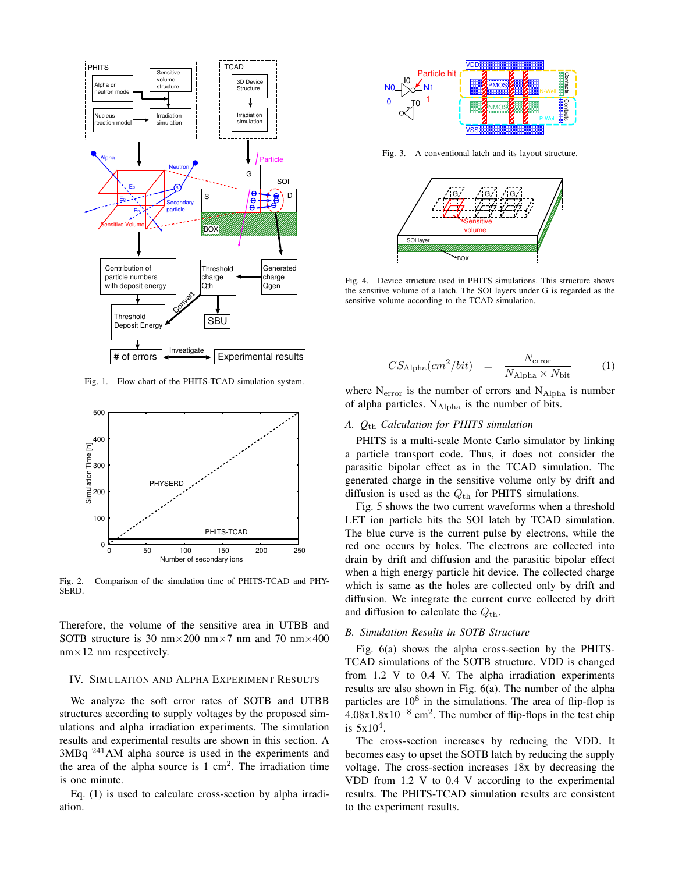

Fig. 1. Flow chart of the PHITS-TCAD simulation system.



Fig. 2. Comparison of the simulation time of PHITS-TCAD and PHY-SERD.

Therefore, the volume of the sensitive area in UTBB and SOTB structure is 30 nm*×*200 nm*×*7 nm and 70 nm*×*400 nm*×*12 nm respectively.

## IV. SIMULATION AND ALPHA EXPERIMENT RESULTS

We analyze the soft error rates of SOTB and UTBB structures according to supply voltages by the proposed simulations and alpha irradiation experiments. The simulation results and experimental results are shown in this section. A 3MBq <sup>241</sup>AM alpha source is used in the experiments and the area of the alpha source is  $1 \text{ cm}^2$ . The irradiation time is one minute.

Eq. (1) is used to calculate cross-section by alpha irradiation.



Fig. 3. A conventional latch and its layout structure.



Fig. 4. Device structure used in PHITS simulations. This structure shows the sensitive volume of a latch. The SOI layers under G is regarded as the sensitive volume according to the TCAD simulation.

$$
CS_{\text{Alpha}}(cm^2/bit) = \frac{N_{\text{error}}}{N_{\text{Alpha}} \times N_{\text{bit}}} \tag{1}
$$

where  $N<sub>error</sub>$  is the number of errors and  $N<sub>Alpha</sub>$  is number of alpha particles. NAlpha is the number of bits.

## *A. Q*th *Calculation for PHITS simulation*

PHITS is a multi-scale Monte Carlo simulator by linking a particle transport code. Thus, it does not consider the parasitic bipolar effect as in the TCAD simulation. The generated charge in the sensitive volume only by drift and diffusion is used as the  $Q_{th}$  for PHITS simulations.

Fig. 5 shows the two current waveforms when a threshold LET ion particle hits the SOI latch by TCAD simulation. The blue curve is the current pulse by electrons, while the red one occurs by holes. The electrons are collected into drain by drift and diffusion and the parasitic bipolar effect when a high energy particle hit device. The collected charge which is same as the holes are collected only by drift and diffusion. We integrate the current curve collected by drift and diffusion to calculate the  $Q_{th}$ .

#### *B. Simulation Results in SOTB Structure*

Fig. 6(a) shows the alpha cross-section by the PHITS-TCAD simulations of the SOTB structure. VDD is changed from 1.2 V to 0.4 V. The alpha irradiation experiments results are also shown in Fig. 6(a). The number of the alpha particles are  $10^8$  in the simulations. The area of flip-flop is 4.08x1.8x10*−*<sup>8</sup> cm<sup>2</sup> . The number of flip-flops in the test chip is  $5x10^4$ .

The cross-section increases by reducing the VDD. It becomes easy to upset the SOTB latch by reducing the supply voltage. The cross-section increases 18x by decreasing the VDD from 1.2 V to 0.4 V according to the experimental results. The PHITS-TCAD simulation results are consistent to the experiment results.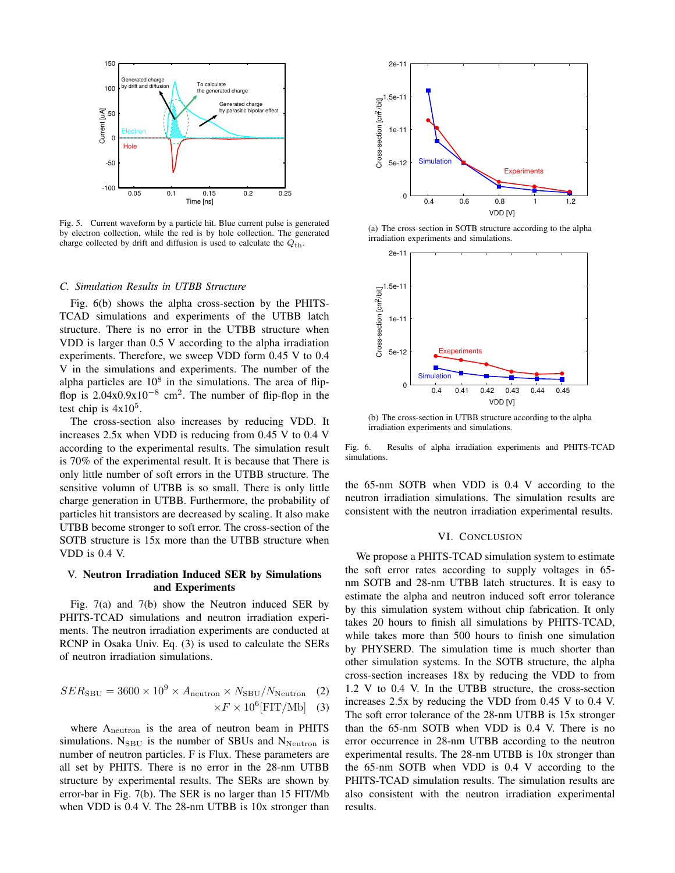

Fig. 5. Current waveform by a particle hit. Blue current pulse is generated by electron collection, while the red is by hole collection. The generated charge collected by drift and diffusion is used to calculate the  $Q_{th}$ .

#### *C. Simulation Results in UTBB Structure*

Fig. 6(b) shows the alpha cross-section by the PHITS-TCAD simulations and experiments of the UTBB latch structure. There is no error in the UTBB structure when VDD is larger than 0.5 V according to the alpha irradiation experiments. Therefore, we sweep VDD form 0.45 V to 0.4 V in the simulations and experiments. The number of the alpha particles are  $10^8$  in the simulations. The area of flipflop is 2.04x0.9x10*−*<sup>8</sup> cm<sup>2</sup> . The number of flip-flop in the test chip is  $4x10^5$ .

The cross-section also increases by reducing VDD. It increases 2.5x when VDD is reducing from 0.45 V to 0.4 V according to the experimental results. The simulation result is 70% of the experimental result. It is because that There is only little number of soft errors in the UTBB structure. The sensitive volumn of UTBB is so small. There is only little charge generation in UTBB. Furthermore, the probability of particles hit transistors are decreased by scaling. It also make UTBB become stronger to soft error. The cross-section of the SOTB structure is 15x more than the UTBB structure when VDD is 0.4 V.

# V. Neutron Irradiation Induced SER by Simulations and Experiments

Fig. 7(a) and 7(b) show the Neutron induced SER by PHITS-TCAD simulations and neutron irradiation experiments. The neutron irradiation experiments are conducted at RCNP in Osaka Univ. Eq. (3) is used to calculate the SERs of neutron irradiation simulations.

$$
SER_{\rm SBU} = 3600 \times 10^9 \times A_{\rm neutron} \times N_{\rm SBU}/N_{\rm Neutron} \quad (2)
$$

$$
\times F \times 10^6 [\text{FIT/Mb}] \quad (3)
$$

where  $A_{\text{neutron}}$  is the area of neutron beam in PHITS simulations.  $N_{SBU}$  is the number of SBUs and  $N_{Neutron}$  is number of neutron particles. F is Flux. These parameters are all set by PHITS. There is no error in the 28-nm UTBB structure by experimental results. The SERs are shown by error-bar in Fig. 7(b). The SER is no larger than 15 FIT/Mb when VDD is 0.4 V. The 28-nm UTBB is 10x stronger than



(a) The cross-section in SOTB structure according to the alpha irradiation experiments and simulations.



(b) The cross-section in UTBB structure according to the alpha irradiation experiments and simulations.

Fig. 6. Results of alpha irradiation experiments and PHITS-TCAD simulations.

the 65-nm SOTB when VDD is 0.4 V according to the neutron irradiation simulations. The simulation results are consistent with the neutron irradiation experimental results.

#### VI. CONCLUSION

We propose a PHITS-TCAD simulation system to estimate the soft error rates according to supply voltages in 65 nm SOTB and 28-nm UTBB latch structures. It is easy to estimate the alpha and neutron induced soft error tolerance by this simulation system without chip fabrication. It only takes 20 hours to finish all simulations by PHITS-TCAD, while takes more than 500 hours to finish one simulation by PHYSERD. The simulation time is much shorter than other simulation systems. In the SOTB structure, the alpha cross-section increases 18x by reducing the VDD to from 1.2 V to 0.4 V. In the UTBB structure, the cross-section increases 2.5x by reducing the VDD from 0.45 V to 0.4 V. The soft error tolerance of the 28-nm UTBB is 15x stronger than the 65-nm SOTB when VDD is 0.4 V. There is no error occurrence in 28-nm UTBB according to the neutron experimental results. The 28-nm UTBB is 10x stronger than the 65-nm SOTB when VDD is 0.4 V according to the PHITS-TCAD simulation results. The simulation results are also consistent with the neutron irradiation experimental results.